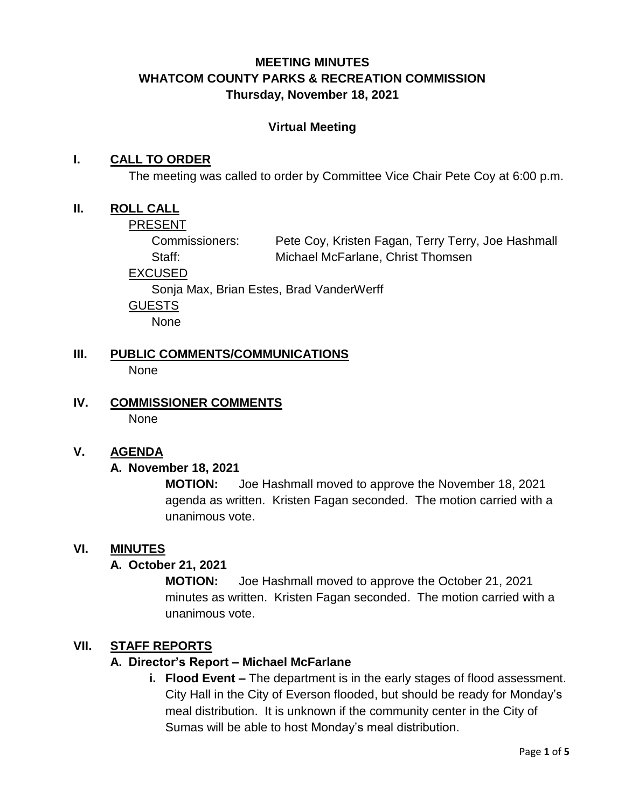## **MEETING MINUTES WHATCOM COUNTY PARKS & RECREATION COMMISSION Thursday, November 18, 2021**

#### **Virtual Meeting**

#### **I. CALL TO ORDER**

The meeting was called to order by Committee Vice Chair Pete Coy at 6:00 p.m.

#### **II. ROLL CALL**

PRESENT

Commissioners: Pete Coy, Kristen Fagan, Terry Terry, Joe Hashmall Staff: Michael McFarlane, Christ Thomsen

EXCUSED

Sonja Max, Brian Estes, Brad VanderWerff

GUESTS

None

- **III. PUBLIC COMMENTS/COMMUNICATIONS None**
- **IV. COMMISSIONER COMMENTS** None

#### **V. AGENDA**

#### **A. November 18, 2021**

**MOTION:** Joe Hashmall moved to approve the November 18, 2021 agenda as written. Kristen Fagan seconded. The motion carried with a unanimous vote.

#### **VI. MINUTES**

#### **A. October 21, 2021**

**MOTION:** Joe Hashmall moved to approve the October 21, 2021 minutes as written. Kristen Fagan seconded. The motion carried with a unanimous vote.

#### **VII. STAFF REPORTS**

#### **A. Director's Report – Michael McFarlane**

**i. Flood Event –** The department is in the early stages of flood assessment. City Hall in the City of Everson flooded, but should be ready for Monday's meal distribution. It is unknown if the community center in the City of Sumas will be able to host Monday's meal distribution.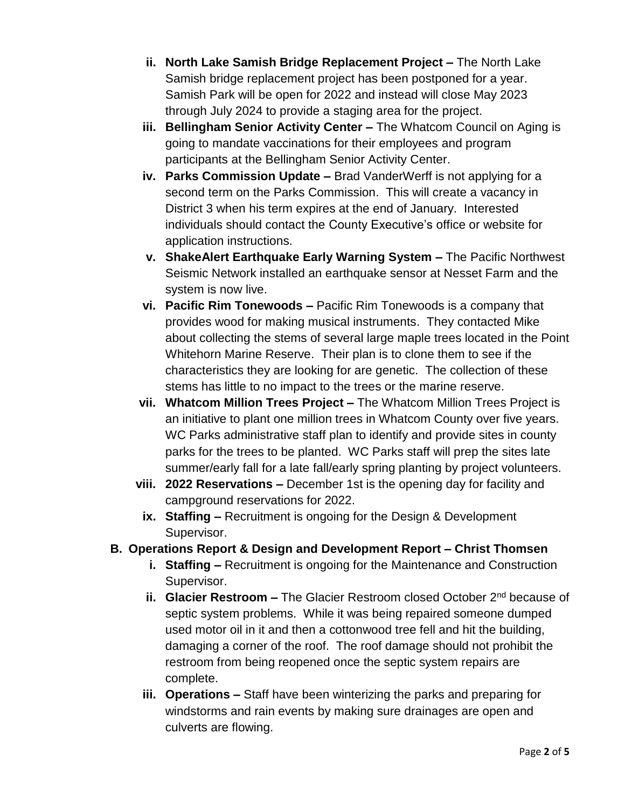- **ii. North Lake Samish Bridge Replacement Project –** The North Lake Samish bridge replacement project has been postponed for a year. Samish Park will be open for 2022 and instead will close May 2023 through July 2024 to provide a staging area for the project.
- **iii. Bellingham Senior Activity Center –** The Whatcom Council on Aging is going to mandate vaccinations for their employees and program participants at the Bellingham Senior Activity Center.
- **iv. Parks Commission Update –** Brad VanderWerff is not applying for a second term on the Parks Commission. This will create a vacancy in District 3 when his term expires at the end of January. Interested individuals should contact the County Executive's office or website for application instructions.
- **v. ShakeAlert Earthquake Early Warning System –** The Pacific Northwest Seismic Network installed an earthquake sensor at Nesset Farm and the system is now live.
- **vi. Pacific Rim Tonewoods –** Pacific Rim Tonewoods is a company that provides wood for making musical instruments. They contacted Mike about collecting the stems of several large maple trees located in the Point Whitehorn Marine Reserve. Their plan is to clone them to see if the characteristics they are looking for are genetic. The collection of these stems has little to no impact to the trees or the marine reserve.
- **vii. Whatcom Million Trees Project –** The Whatcom Million Trees Project is an initiative to plant one million trees in Whatcom County over five years. WC Parks administrative staff plan to identify and provide sites in county parks for the trees to be planted. WC Parks staff will prep the sites late summer/early fall for a late fall/early spring planting by project volunteers.
- **viii. 2022 Reservations –** December 1st is the opening day for facility and campground reservations for 2022.
- **ix. Staffing –** Recruitment is ongoing for the Design & Development Supervisor.

## **B. Operations Report & Design and Development Report – Christ Thomsen**

- **i. Staffing –** Recruitment is ongoing for the Maintenance and Construction Supervisor.
- **ii. Glacier Restroom –** The Glacier Restroom closed October 2nd because of septic system problems. While it was being repaired someone dumped used motor oil in it and then a cottonwood tree fell and hit the building, damaging a corner of the roof. The roof damage should not prohibit the restroom from being reopened once the septic system repairs are complete.
- **iii. Operations –** Staff have been winterizing the parks and preparing for windstorms and rain events by making sure drainages are open and culverts are flowing.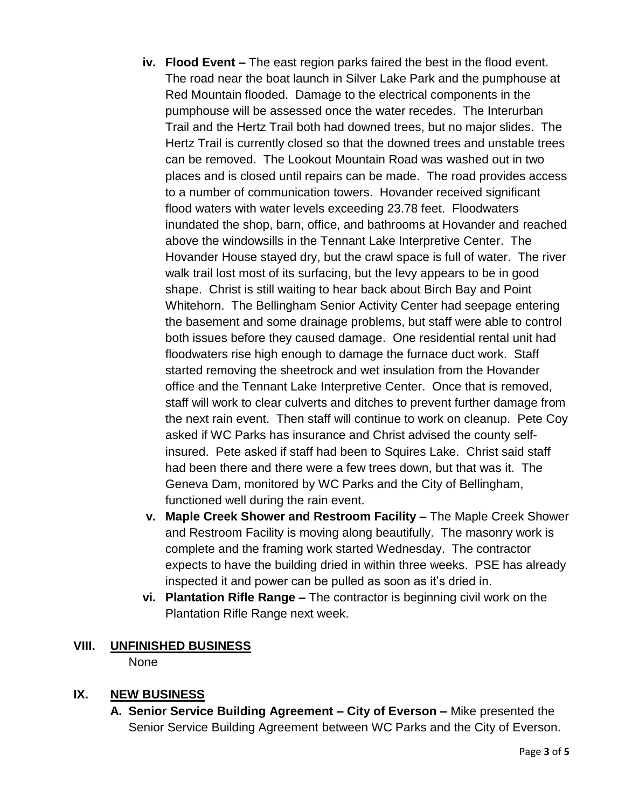- **iv. Flood Event –** The east region parks faired the best in the flood event. The road near the boat launch in Silver Lake Park and the pumphouse at Red Mountain flooded. Damage to the electrical components in the pumphouse will be assessed once the water recedes. The Interurban Trail and the Hertz Trail both had downed trees, but no major slides. The Hertz Trail is currently closed so that the downed trees and unstable trees can be removed. The Lookout Mountain Road was washed out in two places and is closed until repairs can be made. The road provides access to a number of communication towers. Hovander received significant flood waters with water levels exceeding 23.78 feet. Floodwaters inundated the shop, barn, office, and bathrooms at Hovander and reached above the windowsills in the Tennant Lake Interpretive Center. The Hovander House stayed dry, but the crawl space is full of water. The river walk trail lost most of its surfacing, but the levy appears to be in good shape. Christ is still waiting to hear back about Birch Bay and Point Whitehorn. The Bellingham Senior Activity Center had seepage entering the basement and some drainage problems, but staff were able to control both issues before they caused damage. One residential rental unit had floodwaters rise high enough to damage the furnace duct work. Staff started removing the sheetrock and wet insulation from the Hovander office and the Tennant Lake Interpretive Center. Once that is removed, staff will work to clear culverts and ditches to prevent further damage from the next rain event. Then staff will continue to work on cleanup. Pete Coy asked if WC Parks has insurance and Christ advised the county selfinsured. Pete asked if staff had been to Squires Lake. Christ said staff had been there and there were a few trees down, but that was it. The Geneva Dam, monitored by WC Parks and the City of Bellingham, functioned well during the rain event.
- **v. Maple Creek Shower and Restroom Facility –** The Maple Creek Shower and Restroom Facility is moving along beautifully. The masonry work is complete and the framing work started Wednesday. The contractor expects to have the building dried in within three weeks. PSE has already inspected it and power can be pulled as soon as it's dried in.
- **vi. Plantation Rifle Range –** The contractor is beginning civil work on the Plantation Rifle Range next week.

#### **VIII. UNFINISHED BUSINESS**

None

### **IX. NEW BUSINESS**

**A. Senior Service Building Agreement – City of Everson –** Mike presented the Senior Service Building Agreement between WC Parks and the City of Everson.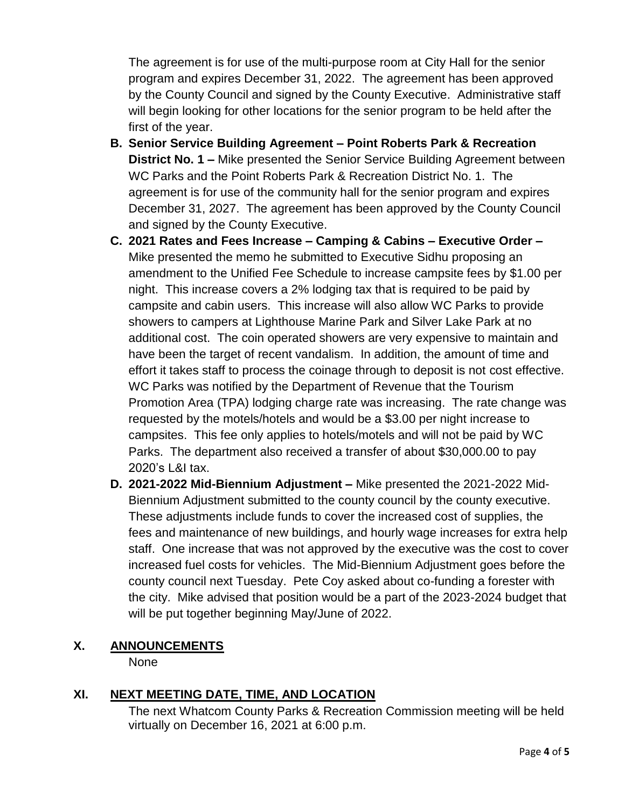The agreement is for use of the multi-purpose room at City Hall for the senior program and expires December 31, 2022. The agreement has been approved by the County Council and signed by the County Executive. Administrative staff will begin looking for other locations for the senior program to be held after the first of the year.

- **B. Senior Service Building Agreement – Point Roberts Park & Recreation District No. 1 –** Mike presented the Senior Service Building Agreement between WC Parks and the Point Roberts Park & Recreation District No. 1. The agreement is for use of the community hall for the senior program and expires December 31, 2027. The agreement has been approved by the County Council and signed by the County Executive.
- **C. 2021 Rates and Fees Increase – Camping & Cabins – Executive Order –** Mike presented the memo he submitted to Executive Sidhu proposing an amendment to the Unified Fee Schedule to increase campsite fees by \$1.00 per night. This increase covers a 2% lodging tax that is required to be paid by campsite and cabin users. This increase will also allow WC Parks to provide showers to campers at Lighthouse Marine Park and Silver Lake Park at no additional cost. The coin operated showers are very expensive to maintain and have been the target of recent vandalism. In addition, the amount of time and effort it takes staff to process the coinage through to deposit is not cost effective. WC Parks was notified by the Department of Revenue that the Tourism Promotion Area (TPA) lodging charge rate was increasing. The rate change was requested by the motels/hotels and would be a \$3.00 per night increase to campsites. This fee only applies to hotels/motels and will not be paid by WC Parks. The department also received a transfer of about \$30,000.00 to pay 2020's L&I tax.
- **D. 2021-2022 Mid-Biennium Adjustment –** Mike presented the 2021-2022 Mid-Biennium Adjustment submitted to the county council by the county executive. These adjustments include funds to cover the increased cost of supplies, the fees and maintenance of new buildings, and hourly wage increases for extra help staff. One increase that was not approved by the executive was the cost to cover increased fuel costs for vehicles. The Mid-Biennium Adjustment goes before the county council next Tuesday. Pete Coy asked about co-funding a forester with the city. Mike advised that position would be a part of the 2023-2024 budget that will be put together beginning May/June of 2022.

#### **X. ANNOUNCEMENTS**

None

## **XI. NEXT MEETING DATE, TIME, AND LOCATION**

The next Whatcom County Parks & Recreation Commission meeting will be held virtually on December 16, 2021 at 6:00 p.m.